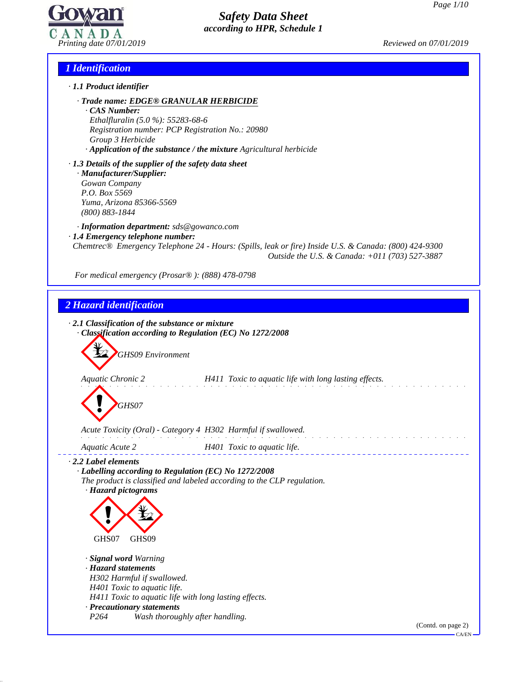

## *1 Identification*

- *· 1.1 Product identifier*
	- *· Trade name: EDGE® GRANULAR HERBICIDE*

*· CAS Number: Ethalfluralin (5.0 %): 55283-68-6 Registration number: PCP Registration No.: 20980 Group 3 Herbicide · Application of the substance / the mixture Agricultural herbicide*

*· 1.3 Details of the supplier of the safety data sheet · Manufacturer/Supplier: Gowan Company P.O. Box 5569 Yuma, Arizona 85366-5569 (800) 883-1844*

*· Information department: sds@gowanco.com · 1.4 Emergency telephone number:*

*Chemtrec® Emergency Telephone 24 - Hours: (Spills, leak or fire) Inside U.S. & Canada: (800) 424-9300 Outside the U.S. & Canada: +011 (703) 527-3887*

*For medical emergency (Prosar® ): (888) 478-0798*

## *2 Hazard identification*

49.2.0.1

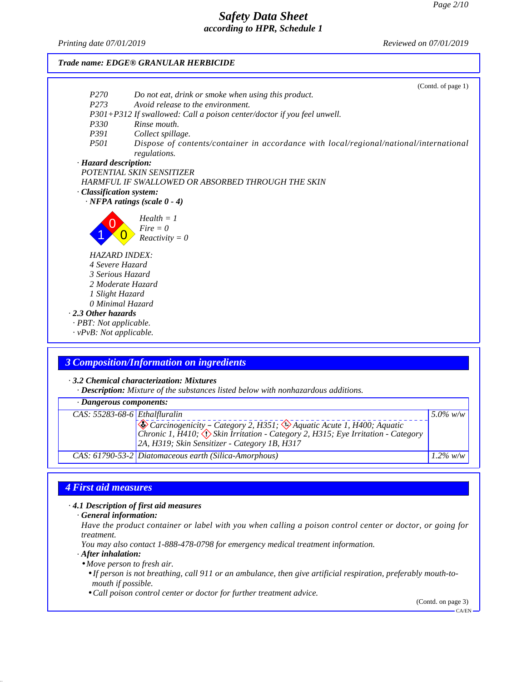*Printing date 07/01/2019 Reviewed on 07/01/2019*

*Trade name: EDGE® GRANULAR HERBICIDE* (Contd. of page 1) *P270 Do not eat, drink or smoke when using this product. P273 Avoid release to the environment. P301+P312 If swallowed: Call a poison center/doctor ifyou feelunwell. P330 Rinse mouth. P391 Collect spillage. P501 Dispose ofcontents/container in accordance with local/regional/national/international regulations. · Hazard description: POTENTIAL SKIN SENSITIZER HARMFUL IF SWALLOWED OR ABSORBED THROUGH THE SKIN · Classification system: · NFPA ratings (scale 0 - 4)*  $\left\{\frac{1}{2}, \frac{1}{2}, \frac{1}{2}, \frac{1}{2}\right\}$  Reactivity = 0  $P = 0$ *Health = 1 HAZARD INDEX: 4 Severe Hazard 3 Serious Hazard 2 Moderate Hazard 1 Slight Hazard 0 Minimal Hazard · 2.3 Other hazards · PBT: Not applicable. · vPvB: Not applicable.*

## *3 Composition/Information on ingredients*

*· 3.2 Chemical characterization: Mixtures*

*· Description: Mixture of the substances listed below with nonhazardous additions.*

| · Dangerous components:                |                                                                                                                                                            |             |  |
|----------------------------------------|------------------------------------------------------------------------------------------------------------------------------------------------------------|-------------|--|
| CAS: $55283-68-6$ <i>Ethalfluralin</i> |                                                                                                                                                            | $5.0\%$ w/w |  |
|                                        | Carcinogenicity – Category 2, H351; A Aquatic Acute 1, H400; Aquatic<br>Chronic 1, H410; ( ) Skin Irritation - Category 2, H315; Eye Irritation - Category |             |  |
|                                        | 2A, H319; Skin Sensitizer - Category 1B, H317                                                                                                              |             |  |
|                                        | CAS: 61790-53-2 Diatomaceous earth (Silica-Amorphous)                                                                                                      | $1.2\%$ w/w |  |

## *4 First aid measures*

*· 4.1 Description of first aid measures*

*· General information:*

Have the product container or label with you when calling a poison control center or doctor, or going for *treatment.*

*You may also contact 1-888-478-0798 for emergency medical treatment information.*

*· After inhalation:*

49.2.0.1

*• Move person to fresh air.*

• If person is not breathing, call 911 or an ambulance, then give artificial respiration, preferably mouth-to*mouth if possible.*

*• Call poison control center or doctor for further treatment advice.*

(Contd. on page 3)

 $-C\Delta/FN$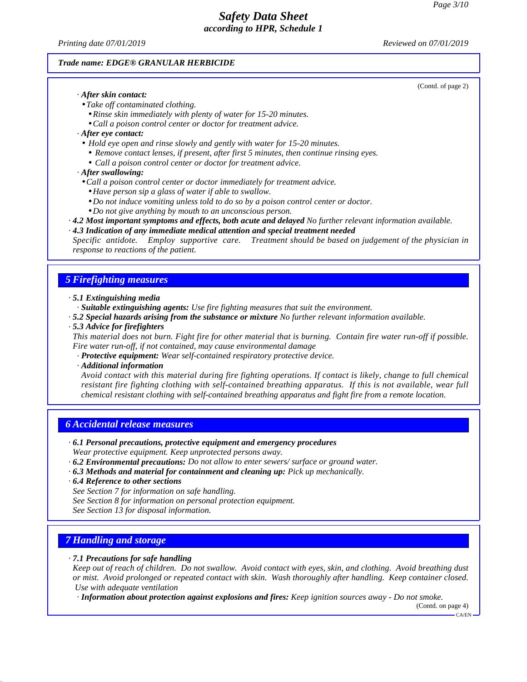(Contd. of page 2)

# *Safety Data Sheet according to HPR, Schedule 1*

*Printing date 07/01/2019 Reviewed on 07/01/2019*

#### *Trade name: EDGE® GRANULAR HERBICIDE*

*· After skin contact:*

- *• Take of contaminated clothing.*
	- *• Rinse skin immediately with plenty of water for 15-20 minutes.*
	- *• Call a poison control center or doctor for treatment advice.*
- *· After eye contact:*
- *• Hold eye open and rinse slowly and gently with water for 15-20 minutes.*
- *• Remove contact lenses, if present, after first 5 minutes, then continue rinsing eyes.*
- *• Call a poison control center or doctor for treatment advice.*
- *· After swallowing:*
- *• Call a poison control center or doctor immediately for treatment advice.*
	- *• Have person sip a glass of water ifable to swallow.*
- *• Do not induce vomiting unless told to do so by a poison control center or doctor.*
- *• Do not give anything by mouth to an unconscious person.*
- *· 4.2 Most important symptoms and effects, both acute and delayed No further relevant information available.*
- *· 4.3 Indication of any immediate medical attention and special treatment needed*

*Specific antidote. Employ supportive care. Treatment should be based on judgement of the physician in response to reactions of the patient.*

### *5 Firefighting measures*

#### *· 5.1 Extinguishing media*

- *· Suitable extinguishing agents: Use fire fighting measures that suit the environment.*
- *· 5.2 Special hazards arising from the substance or mixture No further relevant information available.*

#### *· 5.3 Advice for firefighters*

This material does not burn. Fight fire for other material that is burning. Contain fire water run-off if possible. *Fire water run-of , if not contained, may cause environmental damage*

- *· Protective equipment: Wear self-contained respiratory protective device.*
- *· Additional information*

*Avoid contact with this material during fire fighting operations. If contact is likely, change to fullchemical resistant fire fighting clothing with self-contained breathing apparatus. If this is not available, wear full chemical resistant clothing with self-contained breathing apparatus and fight fire from a remote location.*

### *6 Accidental release measures*

*· 6.1 Personal precautions, protective equipment and emergency procedures*

*Wear protective equipment. Keep unprotected persons away.*

- *· 6.2 Environmental precautions: Do not allow to enter sewers/ surface or ground water.*
- *· 6.3 Methods and material for containment and cleaning up: Pick up mechanically.*
- *· 6.4 Reference to other sections*
- *See Section 7 for information on safe handling.*
- *See Section 8 for information on personal protection equipment.*

*See Section 13 for disposal information.*

## *7 Handling and storage*

49.2.0.1

#### *· 7.1 Precautions for safe handling*

Keep out of reach of children. Do not swallow. Avoid contact with eyes, skin, and clothing. Avoid breathing dust *or mist. Avoid prolonged or repeated contact with skin. Wash thoroughly after handling. Keep container closed. Use with adequate ventilation*

*· Information about protection against explosions and fires: Keep ignition sources away - Do not smoke.*

(Contd. on page 4)  $-CA/FN$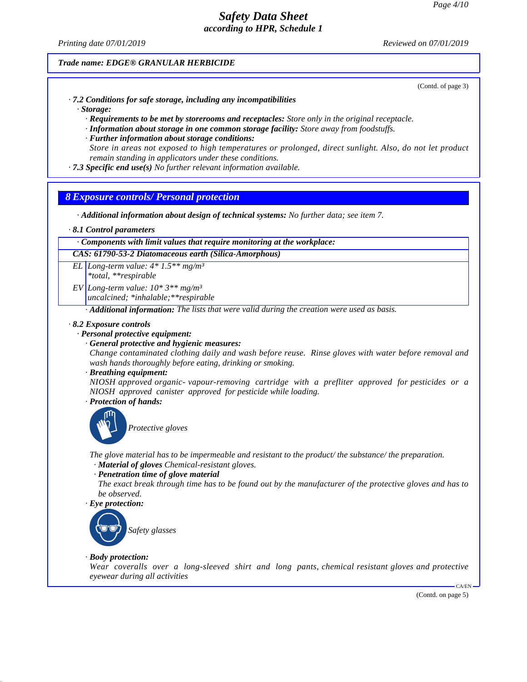*Printing date 07/01/2019 Reviewed on 07/01/2019*

### *Trade name: EDGE® GRANULAR HERBICIDE*

(Contd. of page 3)

- *· 7.2 Conditions for safe storage, including any incompatibilities*
	- *· Storage:*
		- *· Requirements to be met by storerooms and receptacles: Store only in the original receptacle.*
		- *· Information about storage in one common storage facility: Store away from foodstuf s.*
		- *· Further information about storage conditions:*

*Store in areas not exposed to high temperatures or prolonged, direct sunlight. Also, do not let product remain standing in applicators under these conditions.*

*· 7.3 Specific end use(s) No further relevant information available.*

## *8 Exposure controls/ Personal protection*

- *· Additional information about design of technical systems: No further data; see item 7.*
- *· 8.1 Control parameters*

### *· Components with limit values that require monitoring at the workplace:*

*CAS: 61790-53-2 Diatomaceous earth (Silica-Amorphous)*

- *EL Long-term value: 4\* 1.5\*\* mg/m³ \*total, \*\*respirable*
- *EV Long-term value: 10\* 3\*\* mg/m³ uncalcined; \*inhalable;\*\*respirable*

*· Additional information: The lists that were valid during the creation were used as basis.*

#### *· 8.2 Exposure controls*

#### *· Personal protective equipment:*

- *· General protective and hygienic measures:*
- *Change contaminated clothing daily and wash before reuse. Rinse gloves with water before removal and wash hands thoroughly before eating, drinking or smoking.*
- *· Breathing equipment:*

*NIOSH approved organic- vapour-removing cartridge with a prefliter approved for pesticides or a NIOSH approved canister approved for pesticide while loading.*

*· Protection of hands:*



*Protective gloves*

*The glove material has to be impermeable and resistant to the product/ the substance/ the preparation. · Material of gloves Chemical-resistant gloves.*

#### *· Penetration time of glove material*

The exact break through time has to be found out by the manufacturer of the protective gloves and has to *be observed.*

## *· Eye protection:*



#### *· Body protection:*

49.2.0.1

*Wear coveralls over a long-sleeved shirt and long pants, chemical resistant gloves and protective eyewear during all activities*

(Contd. on page 5)

CA/EN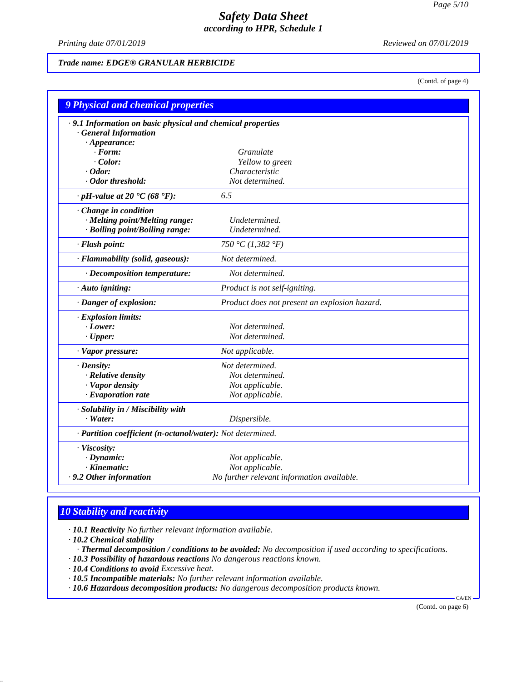*Printing date 07/01/2019 Reviewed on 07/01/2019*

### *Trade name: EDGE® GRANULAR HERBICIDE*

(Contd. of page 4)

| <b>9 Physical and chemical properties</b>                  |                                               |
|------------------------------------------------------------|-----------------------------------------------|
| .9.1 Information on basic physical and chemical properties |                                               |
| <b>General Information</b>                                 |                                               |
| $\cdot$ Appearance:                                        |                                               |
| $\cdot$ Form:                                              | Granulate                                     |
| $\cdot$ Color:                                             | Yellow to green                               |
| $\cdot$ Odor:                                              | Characteristic                                |
| · Odor threshold:                                          | Not determined.                               |
| $\cdot$ pH-value at 20 $\text{°C}$ (68 $\text{°F}$ ):      | 6.5                                           |
| Change in condition                                        |                                               |
| · Melting point/Melting range:                             | Undetermined.                                 |
| · Boiling point/Boiling range:                             | Undetermined.                                 |
| · Flash point:                                             | 750 °C (1,382 °F)                             |
| · Flammability (solid, gaseous):                           | Not determined.                               |
| $\cdot$ Decomposition temperature:                         | Not determined.                               |
| · Auto igniting:                                           | Product is not self-igniting.                 |
| · Danger of explosion:                                     | Product does not present an explosion hazard. |
| $\cdot$ Explosion limits:                                  |                                               |
| $-Lower$ :                                                 | Not determined.                               |
| $\cdot$ Upper:                                             | Not determined.                               |
| · Vapor pressure:                                          | Not applicable.                               |
| $\cdot$ Density:                                           | Not determined.                               |
| · Relative density                                         | Not determined.                               |
| · Vapor density                                            | Not applicable.                               |
| · Evaporation rate                                         | Not applicable.                               |
| · Solubility in / Miscibility with                         |                                               |
| $\cdot$ Water:                                             | Dispersible.                                  |
| · Partition coefficient (n-octanol/water): Not determined. |                                               |
| · Viscosity:                                               |                                               |
| $\cdot$ Dynamic:                                           | Not applicable.                               |
| · Kinematic:                                               | Not applicable.                               |
| .9.2 Other information                                     | No further relevant information available.    |

## *10 Stability and reactivity*

49.2.0.1

*· 10.1 Reactivity No further relevant information available.*

*· 10.2 Chemical stability · Thermal decomposition / conditions to be avoided: No decomposition if used according to specifications.*

- *· 10.3 Possibility of hazardous reactions No dangerous reactions known.*
- *· 10.4 Conditions to avoid Excessive heat.*
- *· 10.5 Incompatible materials: No further relevant information available.*
- *· 10.6 Hazardous decomposition products: No dangerous decomposition products known.*

(Contd. on page 6)

CA/EN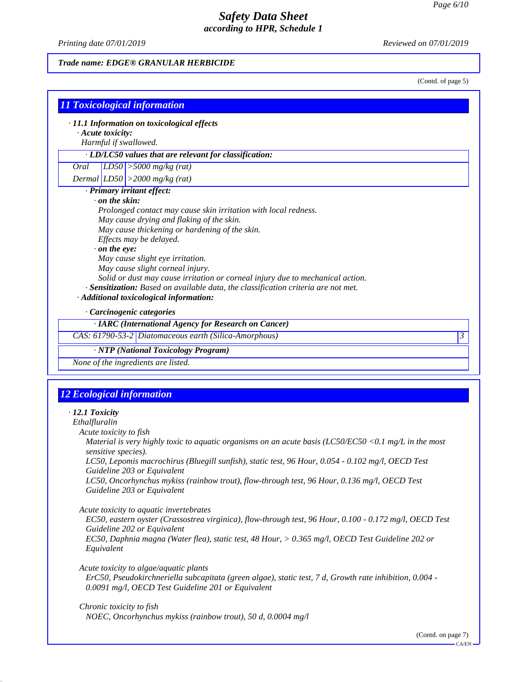*Printing date 07/01/2019 Reviewed on 07/01/2019*

49.2.0.1

## *Trade name: EDGE® GRANULAR HERBICIDE*

(Contd. of page 5)

|                                                                                             | · 11.1 Information on toxicological effects                                                                                                       |  |  |
|---------------------------------------------------------------------------------------------|---------------------------------------------------------------------------------------------------------------------------------------------------|--|--|
| · Acute toxicity:                                                                           |                                                                                                                                                   |  |  |
| Harmful if swallowed.                                                                       |                                                                                                                                                   |  |  |
|                                                                                             | · LD/LC50 values that are relevant for classification:                                                                                            |  |  |
| Oral                                                                                        | $LD50$ > 5000 mg/kg (rat)                                                                                                                         |  |  |
|                                                                                             | Dermal $LD50$ > 2000 mg/kg (rat)                                                                                                                  |  |  |
|                                                                                             | · Primary irritant effect:                                                                                                                        |  |  |
| $\cdot$ on the skin:                                                                        |                                                                                                                                                   |  |  |
|                                                                                             | Prolonged contact may cause skin irritation with local redness.                                                                                   |  |  |
| May cause drying and flaking of the skin.<br>May cause thickening or hardening of the skin. |                                                                                                                                                   |  |  |
|                                                                                             | Effects may be delayed.                                                                                                                           |  |  |
| $\cdot$ on the eye:                                                                         |                                                                                                                                                   |  |  |
|                                                                                             | May cause slight eye irritation.                                                                                                                  |  |  |
|                                                                                             | May cause slight corneal injury.                                                                                                                  |  |  |
|                                                                                             | Solid or dust may cause irritation or corneal injury due to mechanical action.                                                                    |  |  |
|                                                                                             | · Sensitization: Based on available data, the classification criteria are not met.                                                                |  |  |
|                                                                                             | · Additional toxicological information:                                                                                                           |  |  |
|                                                                                             | · Carcinogenic categories                                                                                                                         |  |  |
|                                                                                             | · IARC (International Agency for Research on Cancer)                                                                                              |  |  |
|                                                                                             | $\mathfrak{Z}$<br>CAS: 61790-53-2 Diatomaceous earth (Silica-Amorphous)                                                                           |  |  |
|                                                                                             | · NTP (National Toxicology Program)                                                                                                               |  |  |
|                                                                                             |                                                                                                                                                   |  |  |
|                                                                                             | None of the ingredients are listed.                                                                                                               |  |  |
|                                                                                             |                                                                                                                                                   |  |  |
|                                                                                             |                                                                                                                                                   |  |  |
|                                                                                             | <b>12 Ecological information</b>                                                                                                                  |  |  |
| $-12.1$ Toxicity                                                                            |                                                                                                                                                   |  |  |
| Ethalfluralin                                                                               |                                                                                                                                                   |  |  |
| Acute toxicity to fish                                                                      |                                                                                                                                                   |  |  |
|                                                                                             | Material is very highly toxic to aquatic organisms on an acute basis (LC50/EC50 <0.1 mg/L in the most                                             |  |  |
| sensitive species).                                                                         |                                                                                                                                                   |  |  |
|                                                                                             | LC50, Lepomis macrochirus (Bluegill sunfish), static test, 96 Hour, 0.054 - 0.102 mg/l, OECD Test                                                 |  |  |
|                                                                                             | Guideline 203 or Equivalent                                                                                                                       |  |  |
|                                                                                             | LC50, Oncorhynchus mykiss (rainbow trout), flow-through test, 96 Hour, 0.136 mg/l, OECD Test<br>Guideline 203 or Equivalent                       |  |  |
|                                                                                             |                                                                                                                                                   |  |  |
|                                                                                             | Acute toxicity to aquatic invertebrates                                                                                                           |  |  |
|                                                                                             | EC50, eastern oyster (Crassostrea virginica), flow-through test, 96 Hour, 0.100 - 0.172 mg/l, OECD Test                                           |  |  |
|                                                                                             | Guideline 202 or Equivalent<br>EC50, Daphnia magna (Water flea), static test, 48 Hour, > 0.365 mg/l, OECD Test Guideline 202 or                   |  |  |
| Equivalent                                                                                  |                                                                                                                                                   |  |  |
|                                                                                             |                                                                                                                                                   |  |  |
|                                                                                             | Acute toxicity to algae/aquatic plants<br>ErC50, Pseudokirchneriella subcapitata (green algae), static test, 7 d, Growth rate inhibition, 0.004 - |  |  |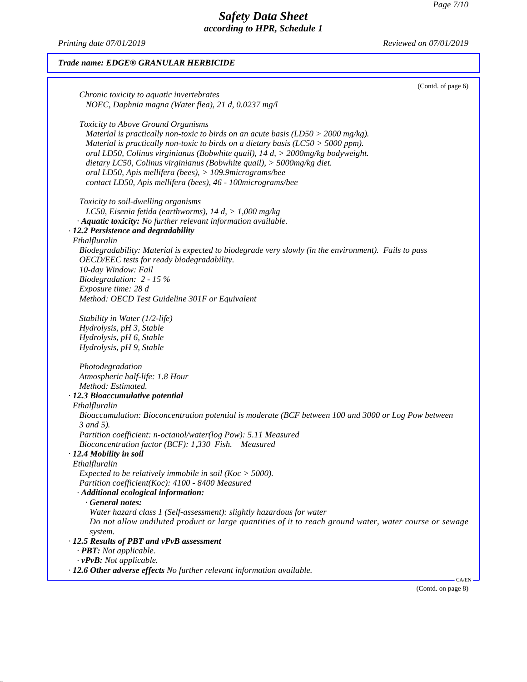*Printing date 07/01/2019 Reviewed on 07/01/2019*

49.2.0.1

(Contd. on page 8)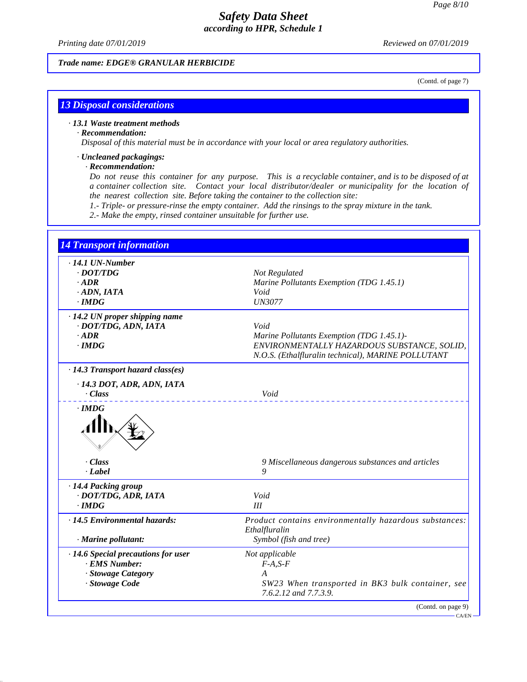*Printing date 07/01/2019 Reviewed on 07/01/2019*

### *Trade name: EDGE® GRANULAR HERBICIDE*

(Contd. of page 7)

## *13 Disposal considerations*

### *· 13.1 Waste treatment methods*

### *· Recommendation:*

49.2.0.1

*Disposal of this material must be in accordance with your local or area regulatory authorities.*

## *· Uncleaned packagings:*

### *· Recommendation:*

Do not reuse this container for any purpose. This is a recyclable container, and is to be disposed of at *a container collection site. Contact your local distributor/dealer or municipality for the location of the nearest collection site. Before taking the container to the collection site:*

*1.- Triple- or pressure-rinse the empty container. Add the rinsings to the spray mixture in the tank.*

*2.- Make the empty, rinsed container unsuitable for further use.*

| $\cdot$ 14.1 UN-Number                  |                                                                                                   |  |
|-----------------------------------------|---------------------------------------------------------------------------------------------------|--|
| $\cdot$ <i>DOT/TDG</i>                  | Not Regulated                                                                                     |  |
| $.$ <i>ADR</i>                          | Marine Pollutants Exemption (TDG 1.45.1)                                                          |  |
| $\cdot$ ADN, IATA                       | Void                                                                                              |  |
| $\cdot$ IMDG                            | <b>UN3077</b>                                                                                     |  |
| $\cdot$ 14.2 UN proper shipping name    |                                                                                                   |  |
| · DOT/TDG, ADN, IATA                    | Void                                                                                              |  |
| $\cdot$ ADR                             | Marine Pollutants Exemption (TDG 1.45.1)-                                                         |  |
| $\cdot$ IMDG                            | ENVIRONMENTALLY HAZARDOUS SUBSTANCE, SOLID,<br>N.O.S. (Ethalfluralin technical), MARINE POLLUTANT |  |
| $\cdot$ 14.3 Transport hazard class(es) |                                                                                                   |  |
| $-14.3$ DOT, ADR, ADN, IATA             |                                                                                                   |  |
| Class                                   | Void                                                                                              |  |
|                                         |                                                                                                   |  |
| . Class                                 | 9 Miscellaneous dangerous substances and articles                                                 |  |
| · Label                                 | 9                                                                                                 |  |
| · 14.4 Packing group                    |                                                                                                   |  |
| · DOT/TDG, ADR, IATA                    | Void                                                                                              |  |
| $\cdot$ IMDG                            | III                                                                                               |  |
| · 14.5 Environmental hazards:           | Product contains environmentally hazardous substances:<br>Ethalfluralin                           |  |
| · Marine pollutant:                     | Symbol (fish and tree)                                                                            |  |
| · 14.6 Special precautions for user     | Not applicable                                                                                    |  |
| · EMS Number:                           | $F-A, S-F$                                                                                        |  |
| · Stowage Category                      | A                                                                                                 |  |
| · Stowage Code                          | SW23 When transported in BK3 bulk container, see<br>7.6.2.12 and 7.7.3.9.                         |  |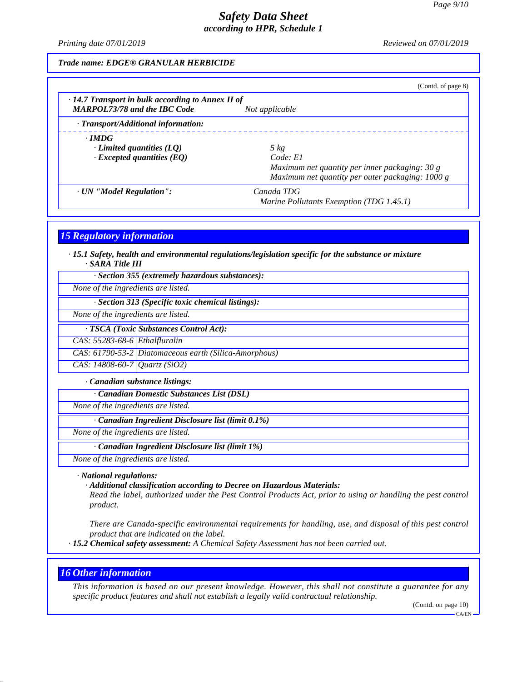*Printing date 07/01/2019 Reviewed on 07/01/2019*

#### *Trade name: EDGE® GRANULAR HERBICIDE*

|                                                         | (Contd. of page 8)                               |  |  |  |  |
|---------------------------------------------------------|--------------------------------------------------|--|--|--|--|
| $\cdot$ 14.7 Transport in bulk according to Annex II of |                                                  |  |  |  |  |
| <b>MARPOL73/78 and the IBC Code</b>                     | Not applicable                                   |  |  |  |  |
| · Transport/Additional information:                     |                                                  |  |  |  |  |
| $\cdot$ IMDG                                            |                                                  |  |  |  |  |
| Limited quantities $(LQ)$                               | 5 kg                                             |  |  |  |  |
| $\cdot$ Excepted quantities (EQ)                        | Code: El                                         |  |  |  |  |
|                                                         | Maximum net quantity per inner packaging: 30 g   |  |  |  |  |
|                                                         | Maximum net quantity per outer packaging: 1000 g |  |  |  |  |
| · UN "Model Regulation":                                | Canada TDG                                       |  |  |  |  |
|                                                         | Marine Pollutants Exemption (TDG 1.45.1)         |  |  |  |  |

*15 Regulatory information*

*· 15.1 Safety, health and environmental regulations/legislation specific for the substance or mixture · SARA Title III*

*· Section 355 (extremely hazardous substances):*

*None of the ingredients are listed.*

*· Section 313 (Specific toxic chemical listings):*

*None of the ingredients are listed.*

*· TSCA (Toxic Substances Control Act):*

*CAS: 55283-68-6 Ethalfluralin*

*CAS: 61790-53-2 Diatomaceous earth (Silica-Amorphous)*

*CAS: 14808-60-7 Quartz (SiO2)*

*· Canadian substance listings:*

*· Canadian Domestic Substances List (DSL)*

*None of the ingredients are listed.*

*· Canadian Ingredient Disclosure list (limit 0.1%)*

*None of the ingredients are listed.*

*· Canadian Ingredient Disclosure list (limit 1%)*

*None of the ingredients are listed.*

*· National regulations:*

*· Additional classification according to Decree on Hazardous Materials:*

Read the label, authorized under the Pest Control Products Act, prior to using or handling the pest control *product.*

*There are Canada-specific environmental requirements for handling, use, and disposal of this pest control product that are indicated on the label.*

*· 15.2 Chemical safety assessment: A Chemical Safety Assessment has not been carried out.*

### *16 Other information*

49.2.0.1

This information is based on our present knowledge. However, this shall not constitute a guarantee for any *specific product features and shall not establish a legally valid contractual relationship.*

(Contd. on page 10)

CA/EN